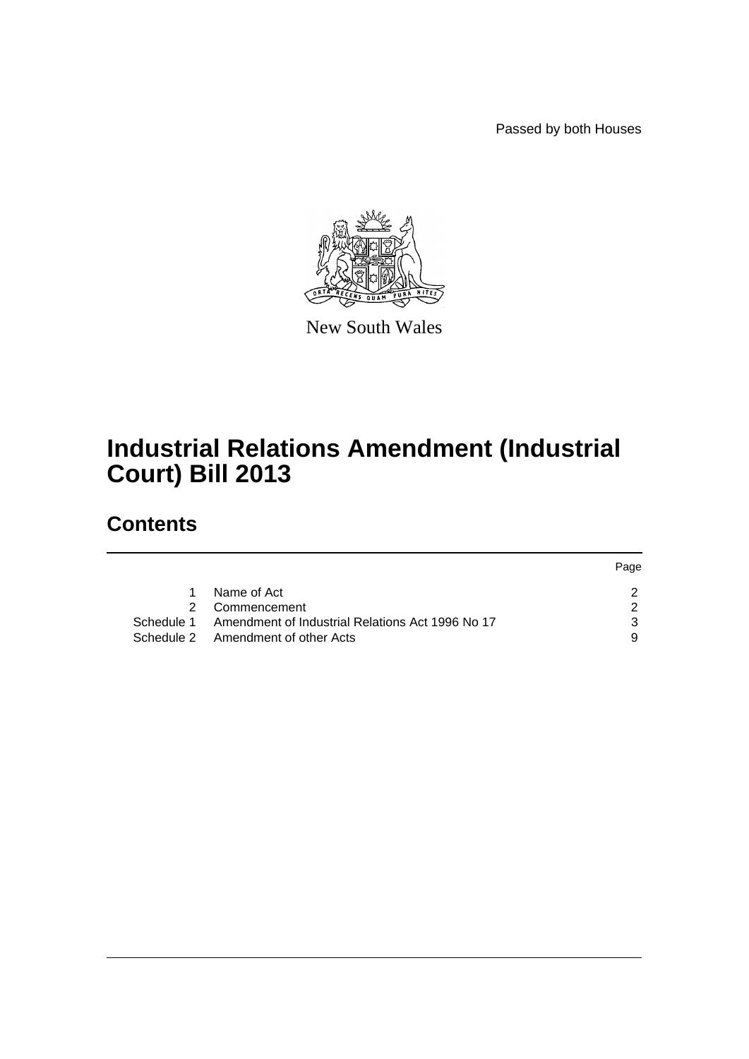Passed by both Houses



New South Wales

# **Industrial Relations Amendment (Industrial Court) Bill 2013**

# **Contents**

|   |                                                             | Page |
|---|-------------------------------------------------------------|------|
| 1 | Name of Act                                                 |      |
|   | 2 Commencement                                              |      |
|   | Schedule 1 Amendment of Industrial Relations Act 1996 No 17 |      |
|   | Schedule 2 Amendment of other Acts                          |      |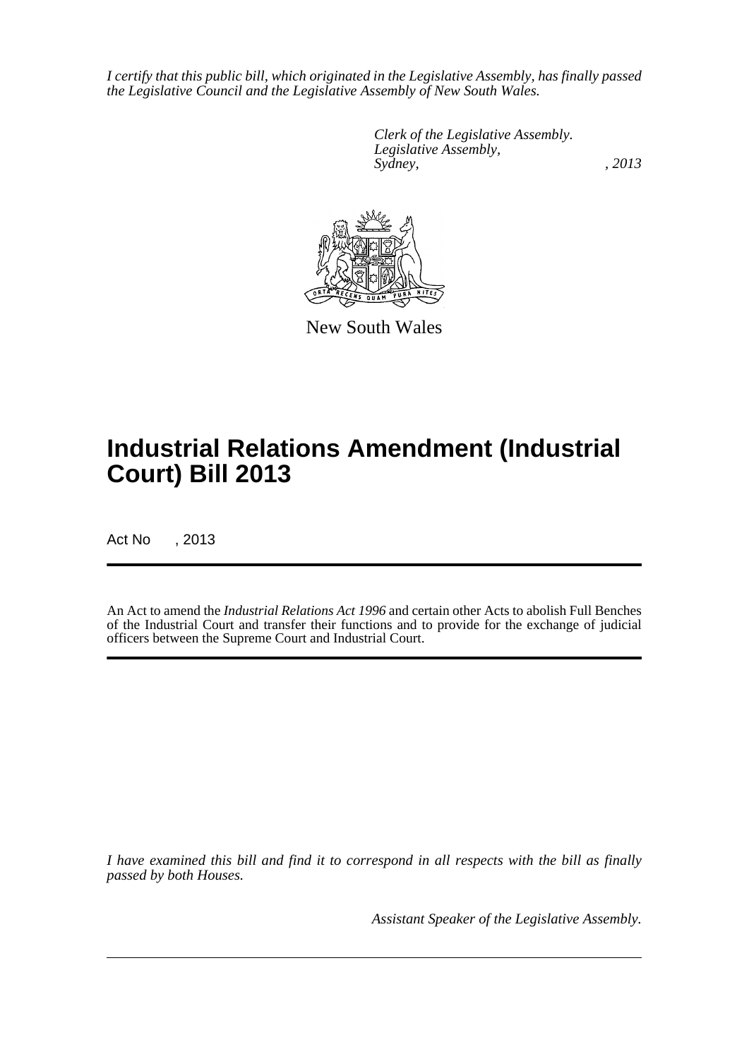*I certify that this public bill, which originated in the Legislative Assembly, has finally passed the Legislative Council and the Legislative Assembly of New South Wales.*

> *Clerk of the Legislative Assembly. Legislative Assembly, Sydney, , 2013*



New South Wales

# **Industrial Relations Amendment (Industrial Court) Bill 2013**

Act No , 2013

An Act to amend the *Industrial Relations Act 1996* and certain other Acts to abolish Full Benches of the Industrial Court and transfer their functions and to provide for the exchange of judicial officers between the Supreme Court and Industrial Court.

*I have examined this bill and find it to correspond in all respects with the bill as finally passed by both Houses.*

*Assistant Speaker of the Legislative Assembly.*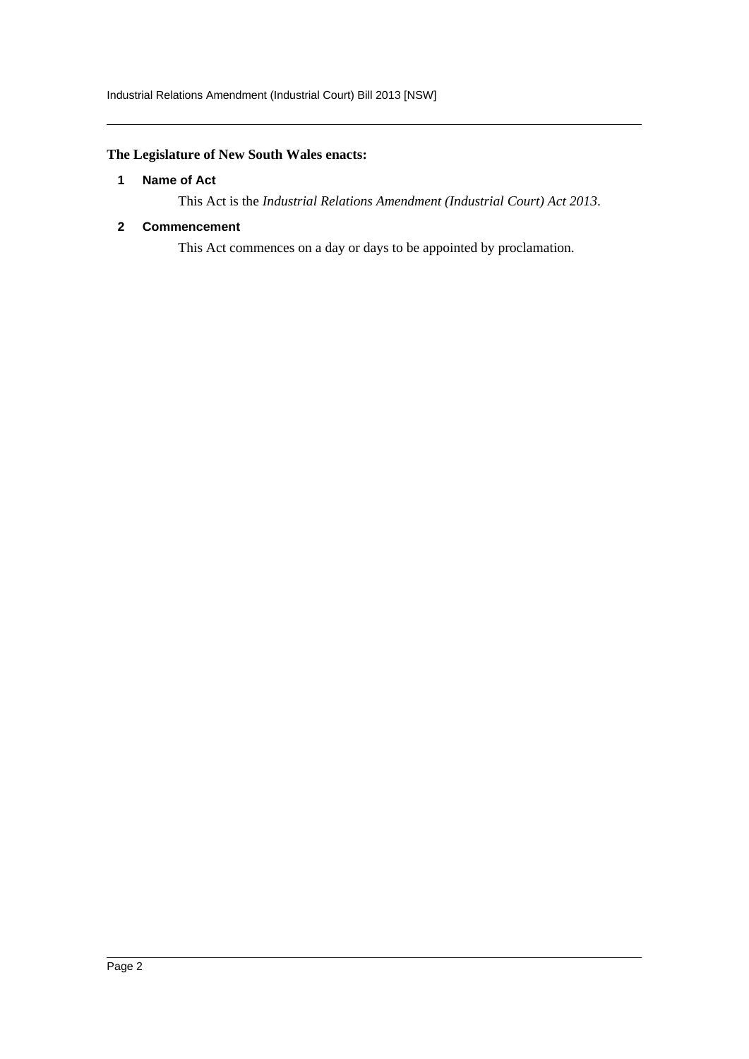# <span id="page-2-0"></span>**The Legislature of New South Wales enacts:**

#### **1 Name of Act**

This Act is the *Industrial Relations Amendment (Industrial Court) Act 2013*.

### <span id="page-2-1"></span>**2 Commencement**

This Act commences on a day or days to be appointed by proclamation.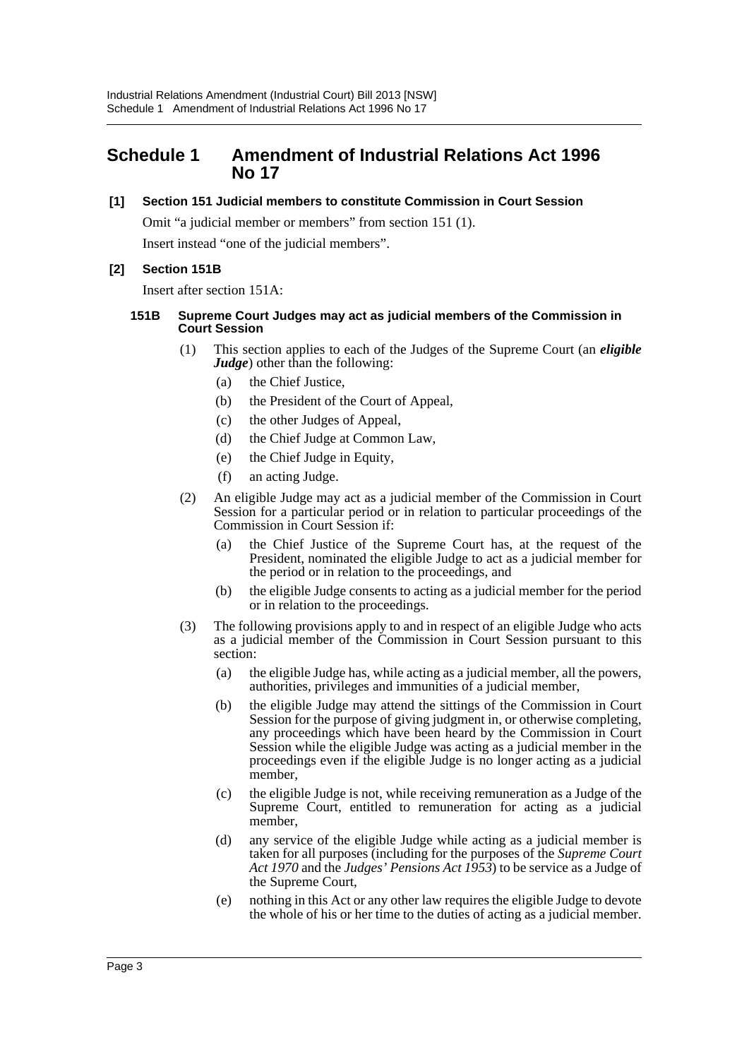# <span id="page-3-0"></span>**Schedule 1 Amendment of Industrial Relations Act 1996 No 17**

#### **[1] Section 151 Judicial members to constitute Commission in Court Session**

Omit "a judicial member or members" from section 151 (1). Insert instead "one of the judicial members".

# **[2] Section 151B**

Insert after section 151A:

#### **151B Supreme Court Judges may act as judicial members of the Commission in Court Session**

- (1) This section applies to each of the Judges of the Supreme Court (an *eligible Judge*) other than the following:
	- (a) the Chief Justice,
	- (b) the President of the Court of Appeal,
	- (c) the other Judges of Appeal,
	- (d) the Chief Judge at Common Law,
	- (e) the Chief Judge in Equity,
	- (f) an acting Judge.
- (2) An eligible Judge may act as a judicial member of the Commission in Court Session for a particular period or in relation to particular proceedings of the Commission in Court Session if:
	- (a) the Chief Justice of the Supreme Court has, at the request of the President, nominated the eligible Judge to act as a judicial member for the period or in relation to the proceedings, and
	- (b) the eligible Judge consents to acting as a judicial member for the period or in relation to the proceedings.
- (3) The following provisions apply to and in respect of an eligible Judge who acts as a judicial member of the Commission in Court Session pursuant to this section:
	- (a) the eligible Judge has, while acting as a judicial member, all the powers, authorities, privileges and immunities of a judicial member,
	- (b) the eligible Judge may attend the sittings of the Commission in Court Session for the purpose of giving judgment in, or otherwise completing, any proceedings which have been heard by the Commission in Court Session while the eligible Judge was acting as a judicial member in the proceedings even if the eligible Judge is no longer acting as a judicial member,
	- (c) the eligible Judge is not, while receiving remuneration as a Judge of the Supreme Court, entitled to remuneration for acting as a judicial member,
	- (d) any service of the eligible Judge while acting as a judicial member is taken for all purposes (including for the purposes of the *Supreme Court Act 1970* and the *Judges' Pensions Act 1953*) to be service as a Judge of the Supreme Court,
	- (e) nothing in this Act or any other law requires the eligible Judge to devote the whole of his or her time to the duties of acting as a judicial member.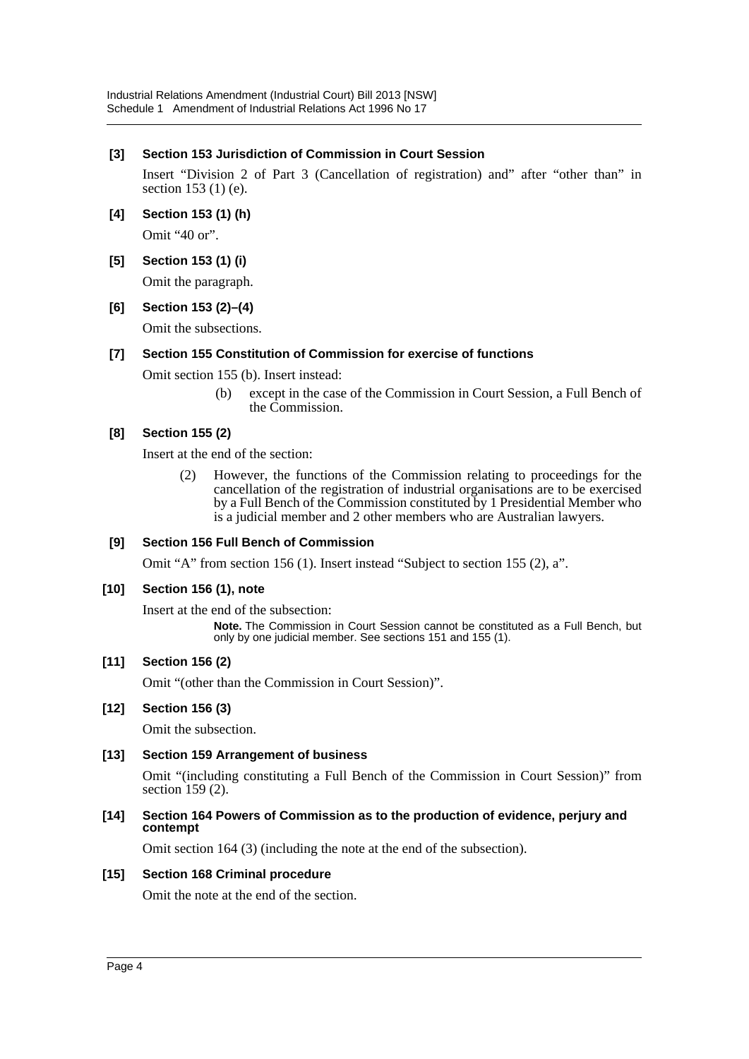# **[3] Section 153 Jurisdiction of Commission in Court Session**

Insert "Division 2 of Part 3 (Cancellation of registration) and" after "other than" in section 153 (1) (e).

- **[4] Section 153 (1) (h)** Omit "40 or".
- **[5] Section 153 (1) (i)**

Omit the paragraph.

**[6] Section 153 (2)–(4)**

Omit the subsections.

#### **[7] Section 155 Constitution of Commission for exercise of functions**

Omit section 155 (b). Insert instead:

(b) except in the case of the Commission in Court Session, a Full Bench of the Commission.

# **[8] Section 155 (2)**

Insert at the end of the section:

(2) However, the functions of the Commission relating to proceedings for the cancellation of the registration of industrial organisations are to be exercised by a Full Bench of the Commission constituted by 1 Presidential Member who is a judicial member and 2 other members who are Australian lawyers.

# **[9] Section 156 Full Bench of Commission**

Omit "A" from section 156 (1). Insert instead "Subject to section 155 (2), a".

# **[10] Section 156 (1), note**

Insert at the end of the subsection:

**Note.** The Commission in Court Session cannot be constituted as a Full Bench, but only by one judicial member. See sections 151 and 155 (1).

# **[11] Section 156 (2)**

Omit "(other than the Commission in Court Session)".

# **[12] Section 156 (3)**

Omit the subsection.

# **[13] Section 159 Arrangement of business**

Omit "(including constituting a Full Bench of the Commission in Court Session)" from section 159 (2).

#### **[14] Section 164 Powers of Commission as to the production of evidence, perjury and contempt**

Omit section 164 (3) (including the note at the end of the subsection).

#### **[15] Section 168 Criminal procedure**

Omit the note at the end of the section.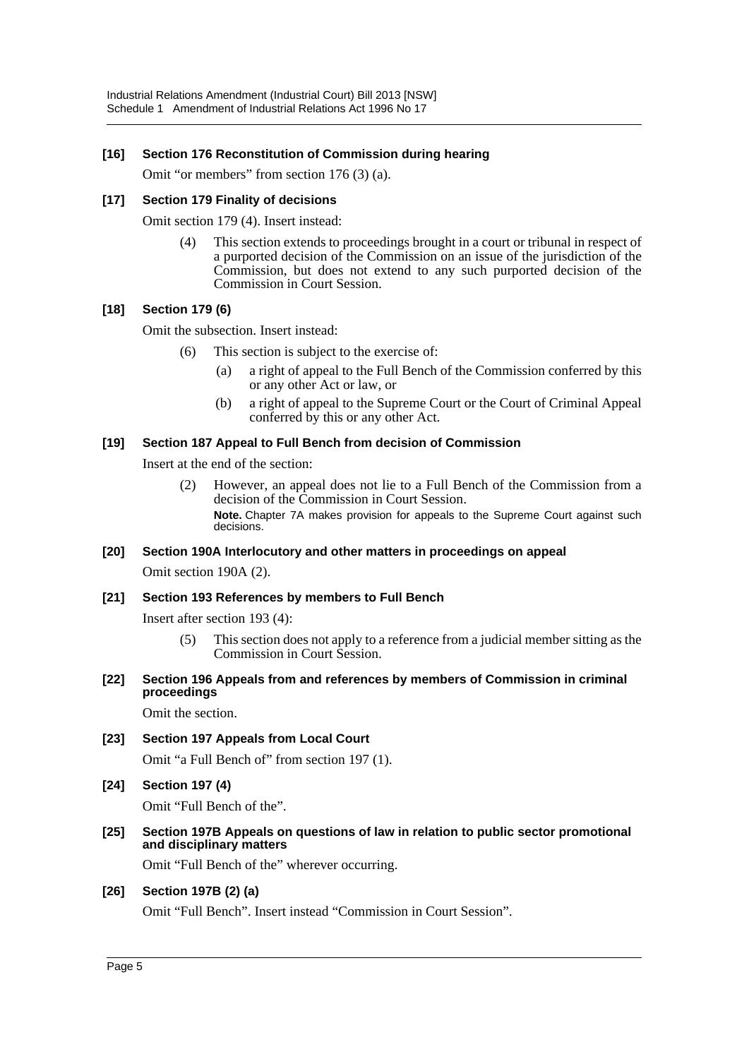#### **[16] Section 176 Reconstitution of Commission during hearing**

Omit "or members" from section 176 (3) (a).

#### **[17] Section 179 Finality of decisions**

Omit section 179 (4). Insert instead:

(4) This section extends to proceedings brought in a court or tribunal in respect of a purported decision of the Commission on an issue of the jurisdiction of the Commission, but does not extend to any such purported decision of the Commission in Court Session.

#### **[18] Section 179 (6)**

Omit the subsection. Insert instead:

- (6) This section is subject to the exercise of:
	- (a) a right of appeal to the Full Bench of the Commission conferred by this or any other Act or law, or
	- (b) a right of appeal to the Supreme Court or the Court of Criminal Appeal conferred by this or any other Act.

#### **[19] Section 187 Appeal to Full Bench from decision of Commission**

Insert at the end of the section:

(2) However, an appeal does not lie to a Full Bench of the Commission from a decision of the Commission in Court Session.

**Note.** Chapter 7A makes provision for appeals to the Supreme Court against such decisions.

#### **[20] Section 190A Interlocutory and other matters in proceedings on appeal**

Omit section 190A (2).

#### **[21] Section 193 References by members to Full Bench**

Insert after section 193 (4):

- (5) This section does not apply to a reference from a judicial member sitting as the Commission in Court Session.
- **[22] Section 196 Appeals from and references by members of Commission in criminal proceedings**

Omit the section.

- **[23] Section 197 Appeals from Local Court** Omit "a Full Bench of" from section 197 (1).
- **[24] Section 197 (4)**

Omit "Full Bench of the".

**[25] Section 197B Appeals on questions of law in relation to public sector promotional and disciplinary matters**

Omit "Full Bench of the" wherever occurring.

#### **[26] Section 197B (2) (a)**

Omit "Full Bench". Insert instead "Commission in Court Session".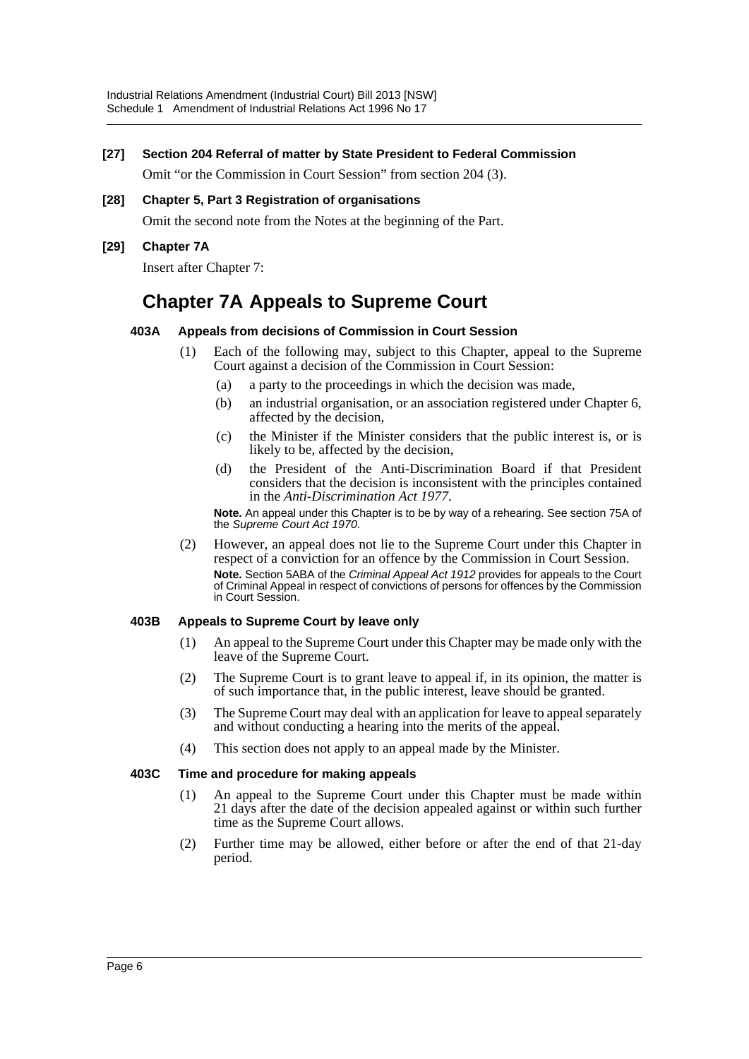#### **[27] Section 204 Referral of matter by State President to Federal Commission**

Omit "or the Commission in Court Session" from section 204 (3).

# **[28] Chapter 5, Part 3 Registration of organisations**

Omit the second note from the Notes at the beginning of the Part.

#### **[29] Chapter 7A**

Insert after Chapter 7:

# **Chapter 7A Appeals to Supreme Court**

#### **403A Appeals from decisions of Commission in Court Session**

- (1) Each of the following may, subject to this Chapter, appeal to the Supreme Court against a decision of the Commission in Court Session:
	- (a) a party to the proceedings in which the decision was made,
	- (b) an industrial organisation, or an association registered under Chapter 6, affected by the decision,
	- (c) the Minister if the Minister considers that the public interest is, or is likely to be, affected by the decision,
	- (d) the President of the Anti-Discrimination Board if that President considers that the decision is inconsistent with the principles contained in the *Anti-Discrimination Act 1977*.

**Note.** An appeal under this Chapter is to be by way of a rehearing. See section 75A of the *Supreme Court Act 1970*.

(2) However, an appeal does not lie to the Supreme Court under this Chapter in respect of a conviction for an offence by the Commission in Court Session. **Note.** Section 5ABA of the *Criminal Appeal Act 1912* provides for appeals to the Court of Criminal Appeal in respect of convictions of persons for offences by the Commission in Court Session.

#### **403B Appeals to Supreme Court by leave only**

- (1) An appeal to the Supreme Court under this Chapter may be made only with the leave of the Supreme Court.
- (2) The Supreme Court is to grant leave to appeal if, in its opinion, the matter is of such importance that, in the public interest, leave should be granted.
- (3) The Supreme Court may deal with an application for leave to appeal separately and without conducting a hearing into the merits of the appeal.
- (4) This section does not apply to an appeal made by the Minister.

#### **403C Time and procedure for making appeals**

- (1) An appeal to the Supreme Court under this Chapter must be made within 21 days after the date of the decision appealed against or within such further time as the Supreme Court allows.
- (2) Further time may be allowed, either before or after the end of that 21-day period.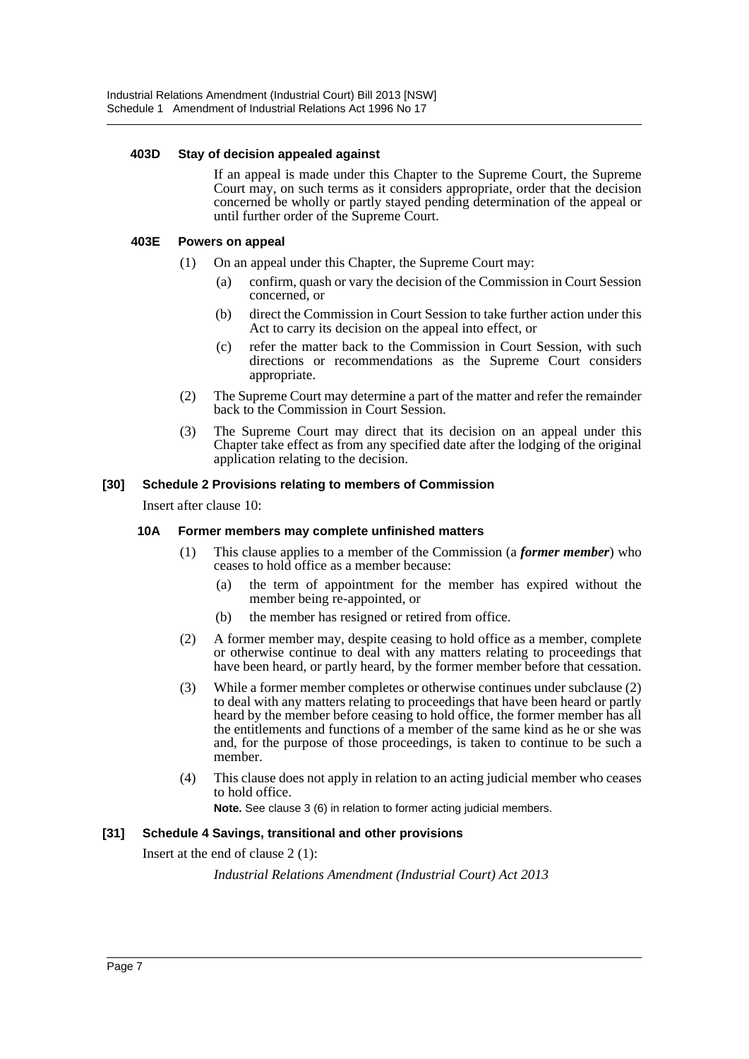#### **403D Stay of decision appealed against**

If an appeal is made under this Chapter to the Supreme Court, the Supreme Court may, on such terms as it considers appropriate, order that the decision concerned be wholly or partly stayed pending determination of the appeal or until further order of the Supreme Court.

#### **403E Powers on appeal**

- (1) On an appeal under this Chapter, the Supreme Court may:
	- (a) confirm, quash or vary the decision of the Commission in Court Session concerned, or
	- (b) direct the Commission in Court Session to take further action under this Act to carry its decision on the appeal into effect, or
	- (c) refer the matter back to the Commission in Court Session, with such directions or recommendations as the Supreme Court considers appropriate.
- (2) The Supreme Court may determine a part of the matter and refer the remainder back to the Commission in Court Session.
- (3) The Supreme Court may direct that its decision on an appeal under this Chapter take effect as from any specified date after the lodging of the original application relating to the decision.

#### **[30] Schedule 2 Provisions relating to members of Commission**

Insert after clause 10:

#### **10A Former members may complete unfinished matters**

- (1) This clause applies to a member of the Commission (a *former member*) who ceases to hold office as a member because:
	- (a) the term of appointment for the member has expired without the member being re-appointed, or
	- (b) the member has resigned or retired from office.
- (2) A former member may, despite ceasing to hold office as a member, complete or otherwise continue to deal with any matters relating to proceedings that have been heard, or partly heard, by the former member before that cessation.
- (3) While a former member completes or otherwise continues under subclause (2) to deal with any matters relating to proceedings that have been heard or partly heard by the member before ceasing to hold office, the former member has all the entitlements and functions of a member of the same kind as he or she was and, for the purpose of those proceedings, is taken to continue to be such a member.
- (4) This clause does not apply in relation to an acting judicial member who ceases to hold office.

**Note.** See clause 3 (6) in relation to former acting judicial members.

#### **[31] Schedule 4 Savings, transitional and other provisions**

Insert at the end of clause 2 (1):

*Industrial Relations Amendment (Industrial Court) Act 2013*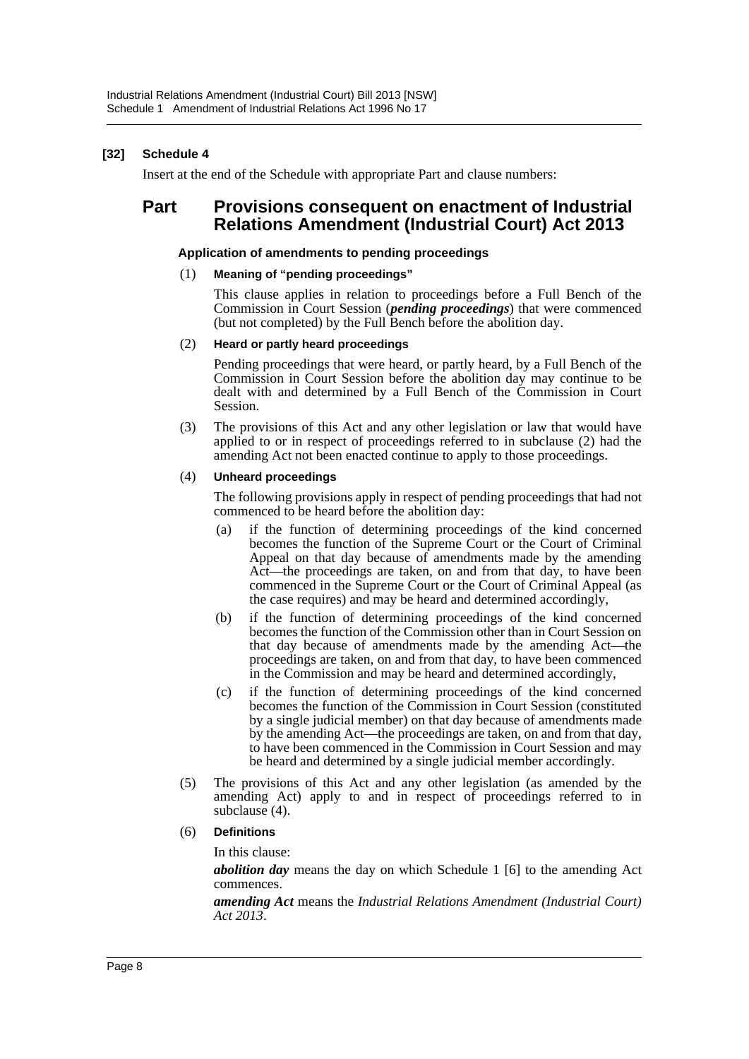# **[32] Schedule 4**

Insert at the end of the Schedule with appropriate Part and clause numbers:

# **Part Provisions consequent on enactment of Industrial Relations Amendment (Industrial Court) Act 2013**

#### **Application of amendments to pending proceedings**

#### (1) **Meaning of "pending proceedings"**

This clause applies in relation to proceedings before a Full Bench of the Commission in Court Session (*pending proceedings*) that were commenced (but not completed) by the Full Bench before the abolition day.

#### (2) **Heard or partly heard proceedings**

Pending proceedings that were heard, or partly heard, by a Full Bench of the Commission in Court Session before the abolition day may continue to be dealt with and determined by a Full Bench of the Commission in Court Session.

(3) The provisions of this Act and any other legislation or law that would have applied to or in respect of proceedings referred to in subclause (2) had the amending Act not been enacted continue to apply to those proceedings.

#### (4) **Unheard proceedings**

The following provisions apply in respect of pending proceedings that had not commenced to be heard before the abolition day:

- (a) if the function of determining proceedings of the kind concerned becomes the function of the Supreme Court or the Court of Criminal Appeal on that day because of amendments made by the amending Act—the proceedings are taken, on and from that day, to have been commenced in the Supreme Court or the Court of Criminal Appeal (as the case requires) and may be heard and determined accordingly,
- (b) if the function of determining proceedings of the kind concerned becomes the function of the Commission other than in Court Session on that day because of amendments made by the amending Act—the proceedings are taken, on and from that day, to have been commenced in the Commission and may be heard and determined accordingly,
- (c) if the function of determining proceedings of the kind concerned becomes the function of the Commission in Court Session (constituted by a single judicial member) on that day because of amendments made by the amending Act—the proceedings are taken, on and from that day, to have been commenced in the Commission in Court Session and may be heard and determined by a single judicial member accordingly.
- (5) The provisions of this Act and any other legislation (as amended by the amending Act) apply to and in respect of proceedings referred to in subclause (4).
- (6) **Definitions**

In this clause:

*abolition day* means the day on which Schedule 1 [6] to the amending Act commences.

*amending Act* means the *Industrial Relations Amendment (Industrial Court) Act 2013*.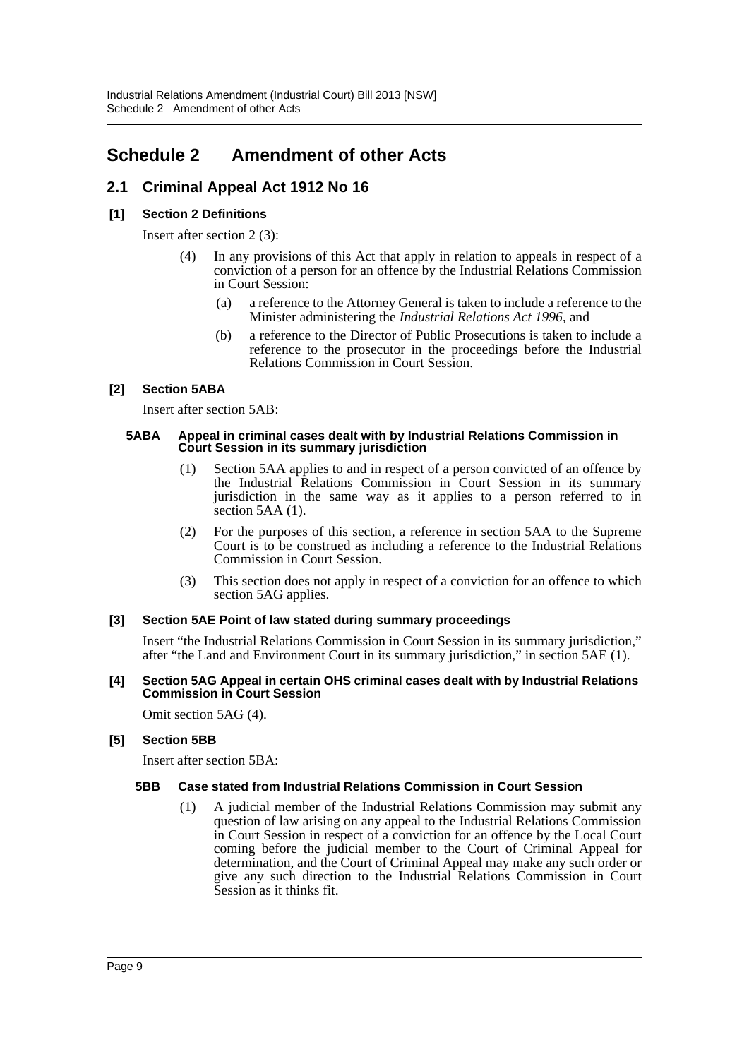# <span id="page-9-0"></span>**Schedule 2 Amendment of other Acts**

# **2.1 Criminal Appeal Act 1912 No 16**

# **[1] Section 2 Definitions**

Insert after section 2 (3):

- (4) In any provisions of this Act that apply in relation to appeals in respect of a conviction of a person for an offence by the Industrial Relations Commission in Court Session:
	- (a) a reference to the Attorney General is taken to include a reference to the Minister administering the *Industrial Relations Act 1996*, and
	- (b) a reference to the Director of Public Prosecutions is taken to include a reference to the prosecutor in the proceedings before the Industrial Relations Commission in Court Session.

# **[2] Section 5ABA**

Insert after section 5AB:

#### **5ABA Appeal in criminal cases dealt with by Industrial Relations Commission in Court Session in its summary jurisdiction**

- (1) Section 5AA applies to and in respect of a person convicted of an offence by the Industrial Relations Commission in Court Session in its summary jurisdiction in the same way as it applies to a person referred to in section 5AA (1).
- (2) For the purposes of this section, a reference in section 5AA to the Supreme Court is to be construed as including a reference to the Industrial Relations Commission in Court Session.
- (3) This section does not apply in respect of a conviction for an offence to which section 5AG applies.

#### **[3] Section 5AE Point of law stated during summary proceedings**

Insert "the Industrial Relations Commission in Court Session in its summary jurisdiction," after "the Land and Environment Court in its summary jurisdiction," in section 5AE (1).

#### **[4] Section 5AG Appeal in certain OHS criminal cases dealt with by Industrial Relations Commission in Court Session**

Omit section 5AG (4).

#### **[5] Section 5BB**

Insert after section 5BA:

#### **5BB Case stated from Industrial Relations Commission in Court Session**

(1) A judicial member of the Industrial Relations Commission may submit any question of law arising on any appeal to the Industrial Relations Commission in Court Session in respect of a conviction for an offence by the Local Court coming before the judicial member to the Court of Criminal Appeal for determination, and the Court of Criminal Appeal may make any such order or give any such direction to the Industrial Relations Commission in Court Session as it thinks fit.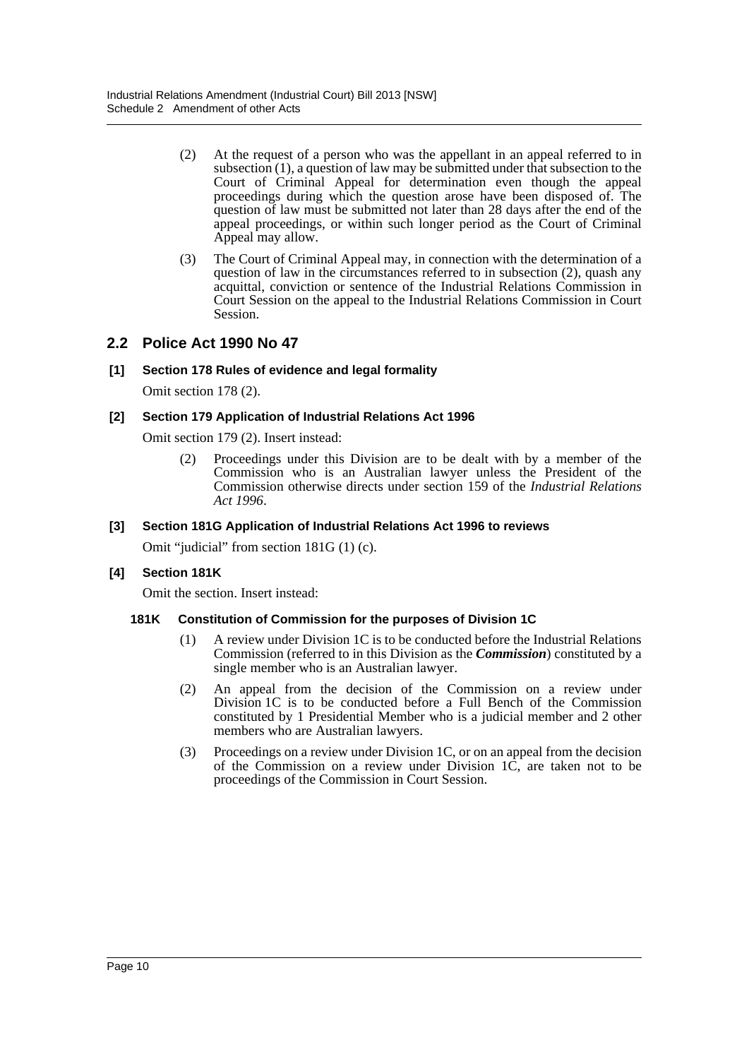- (2) At the request of a person who was the appellant in an appeal referred to in subsection (1), a question of law may be submitted under that subsection to the Court of Criminal Appeal for determination even though the appeal proceedings during which the question arose have been disposed of. The question of law must be submitted not later than 28 days after the end of the appeal proceedings, or within such longer period as the Court of Criminal Appeal may allow.
- (3) The Court of Criminal Appeal may, in connection with the determination of a question of law in the circumstances referred to in subsection (2), quash any acquittal, conviction or sentence of the Industrial Relations Commission in Court Session on the appeal to the Industrial Relations Commission in Court Session.

# **2.2 Police Act 1990 No 47**

#### **[1] Section 178 Rules of evidence and legal formality**

Omit section 178 (2).

#### **[2] Section 179 Application of Industrial Relations Act 1996**

Omit section 179 (2). Insert instead:

(2) Proceedings under this Division are to be dealt with by a member of the Commission who is an Australian lawyer unless the President of the Commission otherwise directs under section 159 of the *Industrial Relations Act 1996*.

#### **[3] Section 181G Application of Industrial Relations Act 1996 to reviews**

Omit "judicial" from section 181G (1) (c).

#### **[4] Section 181K**

Omit the section. Insert instead:

#### **181K Constitution of Commission for the purposes of Division 1C**

- (1) A review under Division 1C is to be conducted before the Industrial Relations Commission (referred to in this Division as the *Commission*) constituted by a single member who is an Australian lawyer.
- (2) An appeal from the decision of the Commission on a review under Division 1C is to be conducted before a Full Bench of the Commission constituted by 1 Presidential Member who is a judicial member and 2 other members who are Australian lawyers.
- (3) Proceedings on a review under Division 1C, or on an appeal from the decision of the Commission on a review under Division 1C, are taken not to be proceedings of the Commission in Court Session.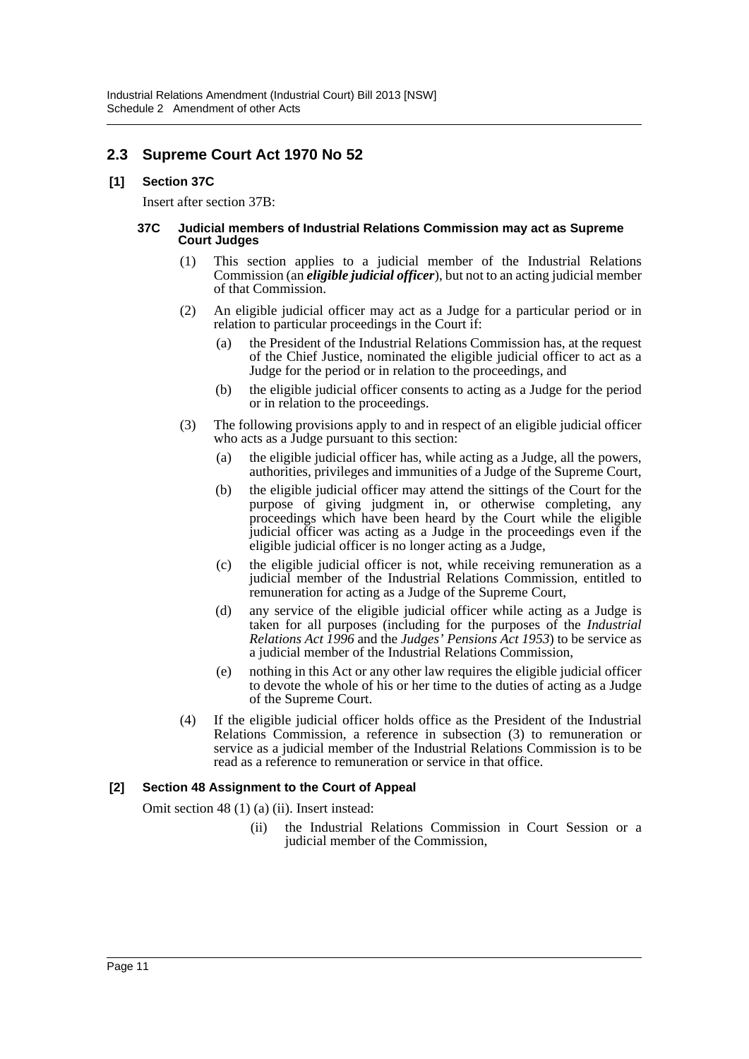# **2.3 Supreme Court Act 1970 No 52**

#### **[1] Section 37C**

Insert after section 37B:

#### **37C Judicial members of Industrial Relations Commission may act as Supreme Court Judges**

- (1) This section applies to a judicial member of the Industrial Relations Commission (an *eligible judicial officer*), but not to an acting judicial member of that Commission.
- (2) An eligible judicial officer may act as a Judge for a particular period or in relation to particular proceedings in the Court if:
	- (a) the President of the Industrial Relations Commission has, at the request of the Chief Justice, nominated the eligible judicial officer to act as a Judge for the period or in relation to the proceedings, and
	- (b) the eligible judicial officer consents to acting as a Judge for the period or in relation to the proceedings.
- (3) The following provisions apply to and in respect of an eligible judicial officer who acts as a Judge pursuant to this section:
	- (a) the eligible judicial officer has, while acting as a Judge, all the powers, authorities, privileges and immunities of a Judge of the Supreme Court,
	- (b) the eligible judicial officer may attend the sittings of the Court for the purpose of giving judgment in, or otherwise completing, any proceedings which have been heard by the Court while the eligible judicial officer was acting as a Judge in the proceedings even if the eligible judicial officer is no longer acting as a Judge,
	- (c) the eligible judicial officer is not, while receiving remuneration as a judicial member of the Industrial Relations Commission, entitled to remuneration for acting as a Judge of the Supreme Court,
	- (d) any service of the eligible judicial officer while acting as a Judge is taken for all purposes (including for the purposes of the *Industrial Relations Act 1996* and the *Judges' Pensions Act 1953*) to be service as a judicial member of the Industrial Relations Commission,
	- (e) nothing in this Act or any other law requires the eligible judicial officer to devote the whole of his or her time to the duties of acting as a Judge of the Supreme Court.
- (4) If the eligible judicial officer holds office as the President of the Industrial Relations Commission, a reference in subsection (3) to remuneration or service as a judicial member of the Industrial Relations Commission is to be read as a reference to remuneration or service in that office.

#### **[2] Section 48 Assignment to the Court of Appeal**

Omit section 48 (1) (a) (ii). Insert instead:

(ii) the Industrial Relations Commission in Court Session or a judicial member of the Commission,